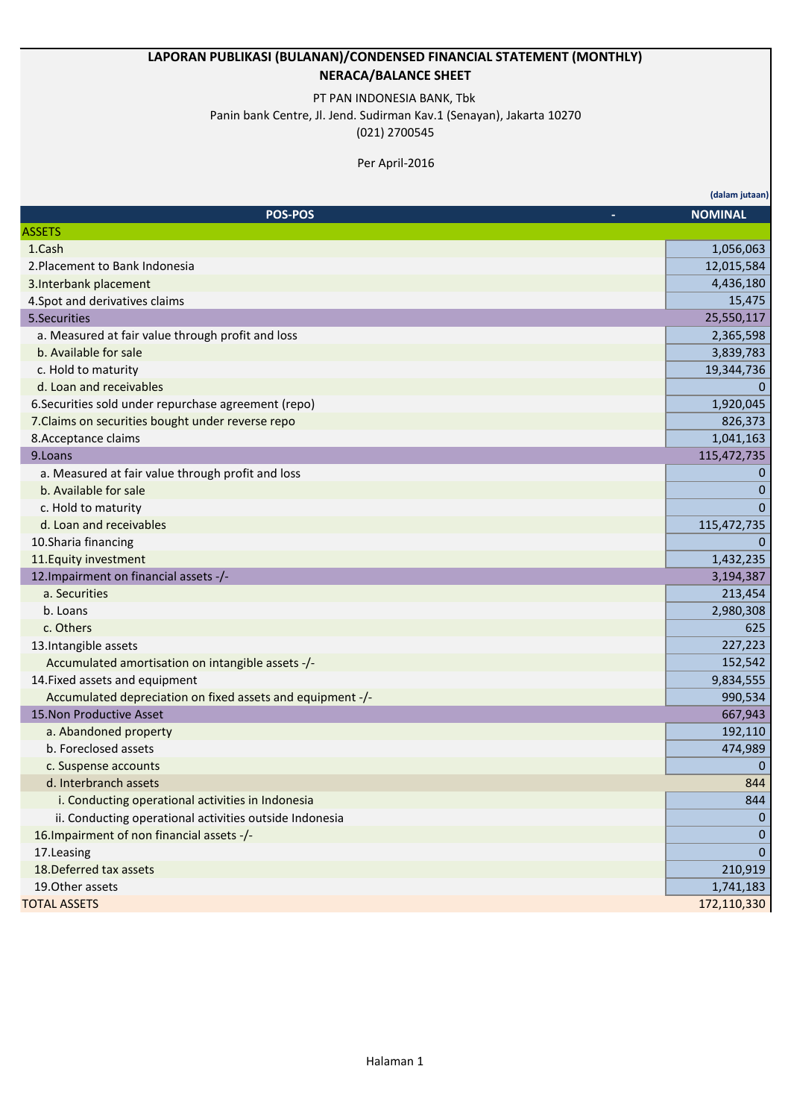## **LAPORAN PUBLIKASI (BULANAN)/CONDENSED FINANCIAL STATEMENT (MONTHLY) NERACA/BALANCE SHEET**

## PT PAN INDONESIA BANK, Tbk

Panin bank Centre, Jl. Jend. Sudirman Kav.1 (Senayan), Jakarta 10270

(021) 2700545

## Per April-2016

|                                                            | (dalam jutaan) |
|------------------------------------------------------------|----------------|
| <b>POS-POS</b>                                             | <b>NOMINAL</b> |
| <b>ASSETS</b>                                              |                |
| 1.Cash                                                     | 1,056,063      |
| 2. Placement to Bank Indonesia                             | 12,015,584     |
| 3. Interbank placement                                     | 4,436,180      |
| 4. Spot and derivatives claims                             | 15,475         |
| 5.Securities                                               | 25,550,117     |
| a. Measured at fair value through profit and loss          | 2,365,598      |
| b. Available for sale                                      | 3,839,783      |
| c. Hold to maturity                                        | 19,344,736     |
| d. Loan and receivables                                    | $\overline{0}$ |
| 6. Securities sold under repurchase agreement (repo)       | 1,920,045      |
| 7. Claims on securities bought under reverse repo          | 826,373        |
| 8. Acceptance claims                                       | 1,041,163      |
| 9.Loans                                                    | 115,472,735    |
| a. Measured at fair value through profit and loss          | 0              |
| b. Available for sale                                      | 0              |
| c. Hold to maturity                                        | $\mathbf{0}$   |
| d. Loan and receivables                                    | 115,472,735    |
| 10.Sharia financing                                        | $\Omega$       |
| 11. Equity investment                                      | 1,432,235      |
| 12. Impairment on financial assets -/-                     | 3,194,387      |
| a. Securities                                              | 213,454        |
| b. Loans                                                   | 2,980,308      |
| c. Others                                                  | 625            |
| 13. Intangible assets                                      | 227,223        |
| Accumulated amortisation on intangible assets -/-          | 152,542        |
| 14. Fixed assets and equipment                             | 9,834,555      |
| Accumulated depreciation on fixed assets and equipment -/- | 990,534        |
| 15. Non Productive Asset                                   | 667,943        |
| a. Abandoned property                                      | 192,110        |
| b. Foreclosed assets                                       | 474,989        |
| c. Suspense accounts                                       | $\mathbf{0}$   |
| d. Interbranch assets                                      | 844            |
| i. Conducting operational activities in Indonesia          | 844            |
| ii. Conducting operational activities outside Indonesia    | $\Omega$       |
| 16. Impairment of non financial assets -/-                 | 0              |
| 17.Leasing                                                 | $\overline{0}$ |
| 18. Deferred tax assets                                    | 210,919        |
| 19.0ther assets                                            | 1,741,183      |
| <b>TOTAL ASSETS</b>                                        | 172,110,330    |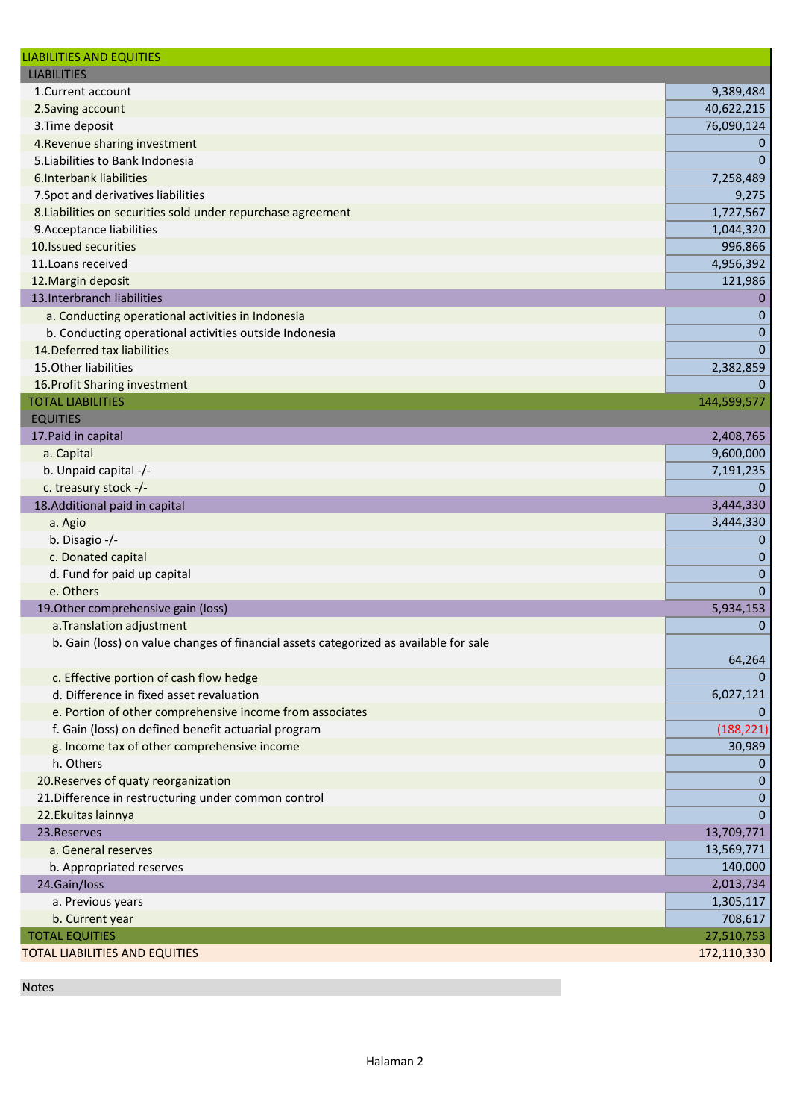| <b>LIABILITIES AND EQUITIES</b>                                                       |              |
|---------------------------------------------------------------------------------------|--------------|
| <b>LIABILITIES</b>                                                                    |              |
| 1.Current account                                                                     | 9,389,484    |
| 2. Saving account                                                                     | 40,622,215   |
| 3. Time deposit                                                                       | 76,090,124   |
| 4. Revenue sharing investment                                                         | 0            |
| 5. Liabilities to Bank Indonesia                                                      | $\Omega$     |
| 6.Interbank liabilities                                                               | 7,258,489    |
| 7. Spot and derivatives liabilities                                                   | 9,275        |
| 8. Liabilities on securities sold under repurchase agreement                          | 1,727,567    |
| 9. Acceptance liabilities                                                             | 1,044,320    |
| 10.Issued securities                                                                  | 996,866      |
| 11. Loans received                                                                    | 4,956,392    |
| 12. Margin deposit                                                                    | 121,986      |
| 13. Interbranch liabilities                                                           | 0            |
| a. Conducting operational activities in Indonesia                                     | $\mathbf{0}$ |
| b. Conducting operational activities outside Indonesia                                | $\mathbf 0$  |
| 14. Deferred tax liabilities                                                          | $\mathbf{0}$ |
| 15. Other liabilities                                                                 | 2,382,859    |
| 16. Profit Sharing investment                                                         | $\Omega$     |
| <b>TOTAL LIABILITIES</b>                                                              | 144,599,577  |
| <b>EQUITIES</b>                                                                       |              |
| 17. Paid in capital                                                                   | 2,408,765    |
| a. Capital                                                                            | 9,600,000    |
| b. Unpaid capital -/-                                                                 | 7,191,235    |
| c. treasury stock -/-                                                                 | $\Omega$     |
| 18.Additional paid in capital                                                         | 3,444,330    |
| a. Agio                                                                               | 3,444,330    |
| b. Disagio -/-                                                                        | 0            |
| c. Donated capital                                                                    | 0            |
| d. Fund for paid up capital                                                           | $\mathbf 0$  |
| e. Others                                                                             | $\mathbf 0$  |
| 19. Other comprehensive gain (loss)                                                   | 5,934,153    |
| a. Translation adjustment                                                             | 0            |
| b. Gain (loss) on value changes of financial assets categorized as available for sale |              |
|                                                                                       | 64,264       |
| c. Effective portion of cash flow hedge                                               | $\mathbf 0$  |
| d. Difference in fixed asset revaluation                                              | 6,027,121    |
| e. Portion of other comprehensive income from associates                              | 0            |
| f. Gain (loss) on defined benefit actuarial program                                   | (188, 221)   |
| g. Income tax of other comprehensive income                                           | 30,989       |
| h. Others                                                                             | $\bf{0}$     |
| 20. Reserves of quaty reorganization                                                  | $\Omega$     |
| 21. Difference in restructuring under common control                                  | 0            |
| 22. Ekuitas lainnya                                                                   | $\mathbf 0$  |
| 23. Reserves                                                                          | 13,709,771   |
| a. General reserves                                                                   | 13,569,771   |
| b. Appropriated reserves                                                              | 140,000      |
| 24.Gain/loss                                                                          | 2,013,734    |
| a. Previous years                                                                     | 1,305,117    |
| b. Current year                                                                       | 708,617      |
| <b>TOTAL EQUITIES</b>                                                                 | 27,510,753   |
| <b>TOTAL LIABILITIES AND EQUITIES</b>                                                 | 172,110,330  |
|                                                                                       |              |

Notes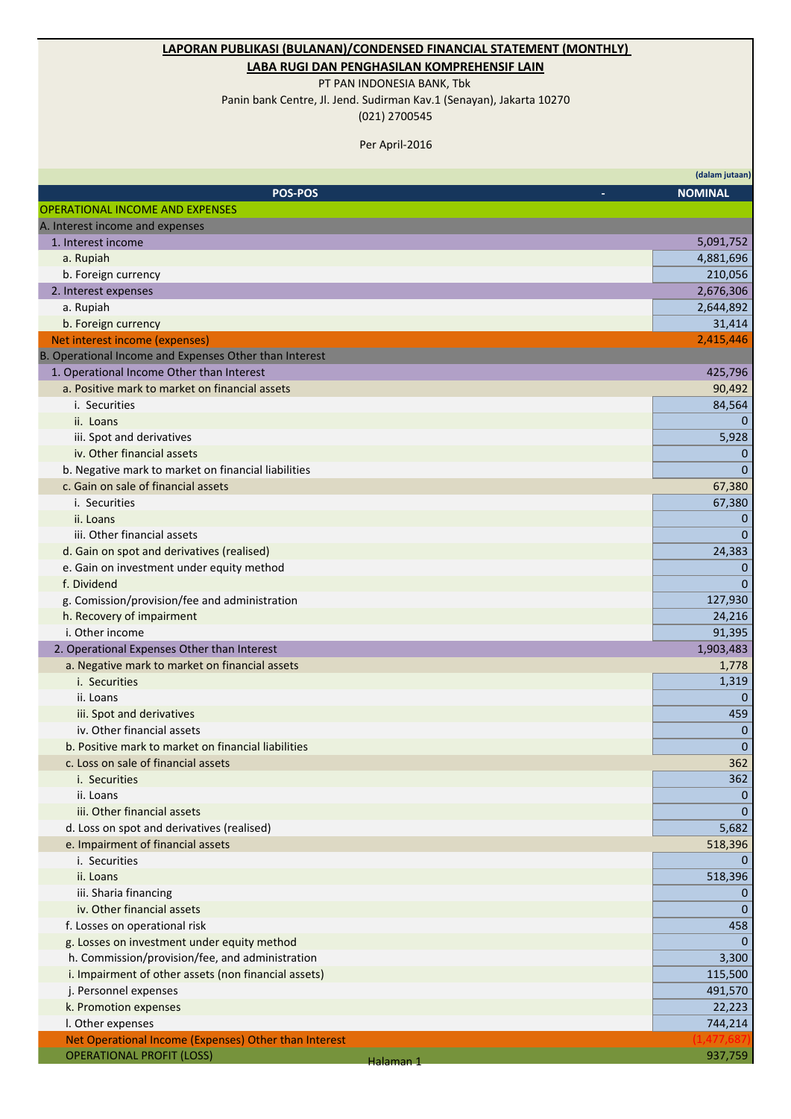## **LAPORAN PUBLIKASI (BULANAN)/CONDENSED FINANCIAL STATEMENT (MONTHLY)**

**LABA RUGI DAN PENGHASILAN KOMPREHENSIF LAIN**

PT PAN INDONESIA BANK, Tbk

Panin bank Centre, Jl. Jend. Sudirman Kav.1 (Senayan), Jakarta 10270 (021) 2700545

Per April-2016

|                                                        |           | (dalam jutaan)          |
|--------------------------------------------------------|-----------|-------------------------|
| <b>POS-POS</b>                                         |           | <b>NOMINAL</b>          |
| <b>OPERATIONAL INCOME AND EXPENSES</b>                 |           |                         |
| A. Interest income and expenses                        |           |                         |
| 1. Interest income                                     |           | 5,091,752               |
| a. Rupiah                                              |           | 4,881,696               |
| b. Foreign currency                                    |           | 210,056                 |
| 2. Interest expenses                                   |           | 2,676,306               |
| a. Rupiah                                              |           | 2,644,892               |
| b. Foreign currency                                    |           | 31,414                  |
| Net interest income (expenses)                         |           | 2,415,446               |
| B. Operational Income and Expenses Other than Interest |           |                         |
| 1. Operational Income Other than Interest              |           | 425,796                 |
| a. Positive mark to market on financial assets         |           | 90,492                  |
| i. Securities                                          |           | 84,564                  |
| ii. Loans                                              |           | 0                       |
| iii. Spot and derivatives                              |           | 5,928                   |
| iv. Other financial assets                             |           | 0                       |
| b. Negative mark to market on financial liabilities    |           | $\Omega$                |
| c. Gain on sale of financial assets                    |           | 67,380                  |
| i. Securities                                          |           | 67,380                  |
| ii. Loans                                              |           | 0                       |
| iii. Other financial assets                            |           | $\mathbf{0}$            |
| d. Gain on spot and derivatives (realised)             |           | 24,383                  |
| e. Gain on investment under equity method              |           | 0                       |
| f. Dividend                                            |           | 0                       |
| g. Comission/provision/fee and administration          |           | 127,930                 |
| h. Recovery of impairment                              |           | 24,216                  |
| i. Other income                                        |           | 91,395                  |
| 2. Operational Expenses Other than Interest            |           | 1,903,483               |
| a. Negative mark to market on financial assets         |           | 1,778                   |
| i. Securities                                          |           | 1,319                   |
| ii. Loans                                              |           | $\mathbf{0}$            |
| iii. Spot and derivatives                              |           | 459                     |
| iv. Other financial assets                             |           | 0                       |
| b. Positive mark to market on financial liabilities    |           | $\mathbf 0$             |
| c. Loss on sale of financial assets                    |           | 362                     |
| i. Securities                                          |           | 362                     |
| ii. Loans                                              |           | $\theta$                |
| iii. Other financial assets                            |           | $\mathbf{0}$            |
|                                                        |           |                         |
| d. Loss on spot and derivatives (realised)             |           | 5,682                   |
| e. Impairment of financial assets<br>i. Securities     |           | 518,396<br>$\mathbf{0}$ |
| ii. Loans                                              |           |                         |
|                                                        |           | 518,396                 |
| iii. Sharia financing<br>iv. Other financial assets    |           | 0                       |
|                                                        |           | $\Omega$                |
| f. Losses on operational risk                          |           | 458                     |
| g. Losses on investment under equity method            |           | $\Omega$                |
| h. Commission/provision/fee, and administration        |           | 3,300                   |
| i. Impairment of other assets (non financial assets)   |           | 115,500                 |
| j. Personnel expenses                                  |           | 491,570                 |
| k. Promotion expenses                                  |           | 22,223                  |
| I. Other expenses                                      |           | 744,214                 |
| Net Operational Income (Expenses) Other than Interest  |           |                         |
| <b>OPERATIONAL PROFIT (LOSS)</b>                       | Halaman 1 | 937,759                 |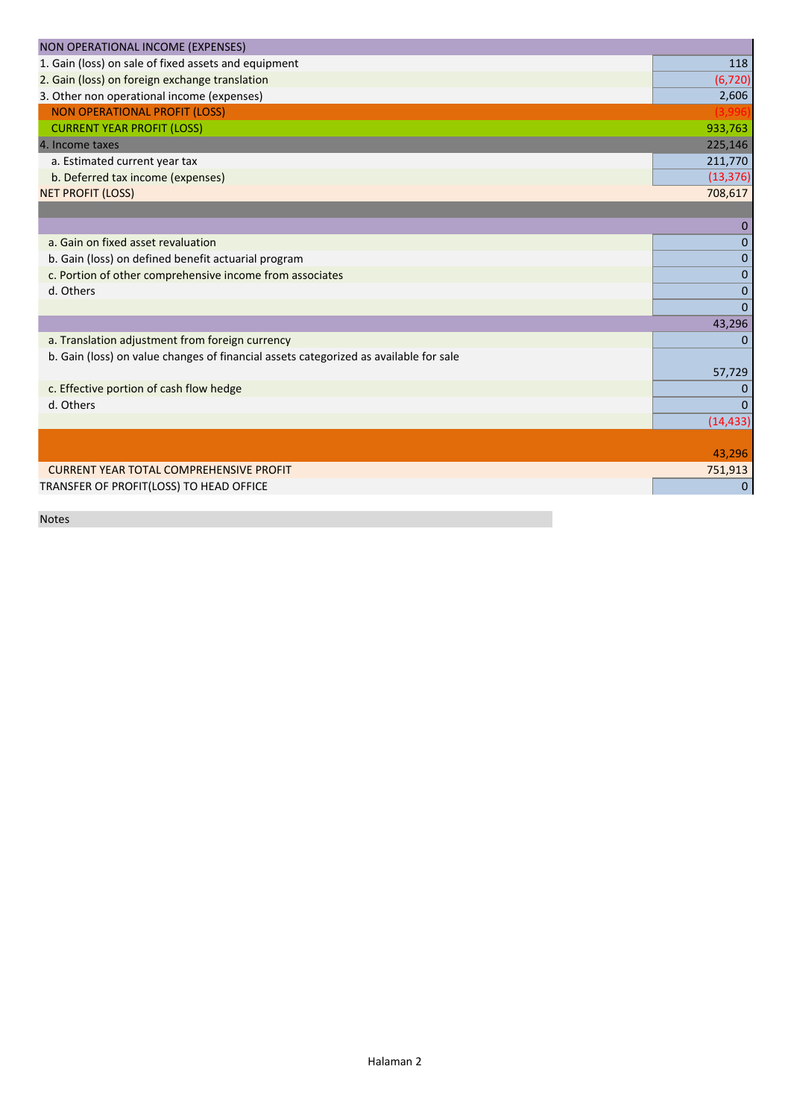| NON OPERATIONAL INCOME (EXPENSES)                                                     |                |
|---------------------------------------------------------------------------------------|----------------|
| 1. Gain (loss) on sale of fixed assets and equipment                                  | 118            |
| 2. Gain (loss) on foreign exchange translation                                        | (6, 720)       |
| 3. Other non operational income (expenses)                                            | 2,606          |
| <b>NON OPERATIONAL PROFIT (LOSS)</b>                                                  |                |
| <b>CURRENT YEAR PROFIT (LOSS)</b>                                                     | 933,763        |
| 4. Income taxes                                                                       | 225,146        |
| a. Estimated current year tax                                                         | 211,770        |
| b. Deferred tax income (expenses)                                                     | (13, 376)      |
| <b>NET PROFIT (LOSS)</b>                                                              | 708,617        |
|                                                                                       |                |
|                                                                                       | $\Omega$       |
| a. Gain on fixed asset revaluation                                                    | $\mathbf{0}$   |
| b. Gain (loss) on defined benefit actuarial program                                   | $\mathbf 0$    |
| c. Portion of other comprehensive income from associates                              | 0              |
| d. Others                                                                             | $\mathbf 0$    |
|                                                                                       | $\overline{0}$ |
|                                                                                       | 43,296         |
| a. Translation adjustment from foreign currency                                       | $\Omega$       |
| b. Gain (loss) on value changes of financial assets categorized as available for sale |                |
|                                                                                       | 57,729         |
| c. Effective portion of cash flow hedge                                               | 0              |
| d. Others                                                                             | $\Omega$       |
|                                                                                       | (14, 433)      |
|                                                                                       |                |
|                                                                                       | 43,296         |
| <b>CURRENT YEAR TOTAL COMPREHENSIVE PROFIT</b>                                        | 751,913        |
| TRANSFER OF PROFIT(LOSS) TO HEAD OFFICE                                               | $\mathbf{0}$   |

Notes